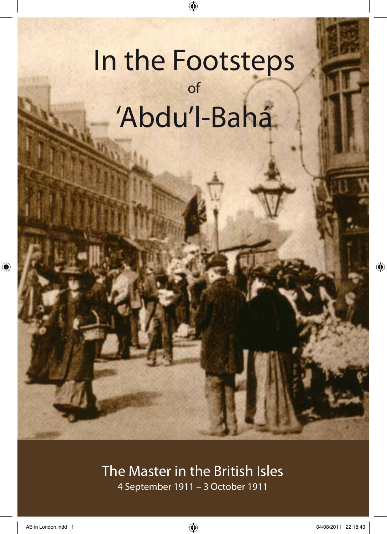# In the Footsteps of 'Abdu'l-Bahá

T.

 $\bigoplus$ 

# The Master in the British Isles 4 September 1911 – 3 October 1911

 $\bigoplus$ 

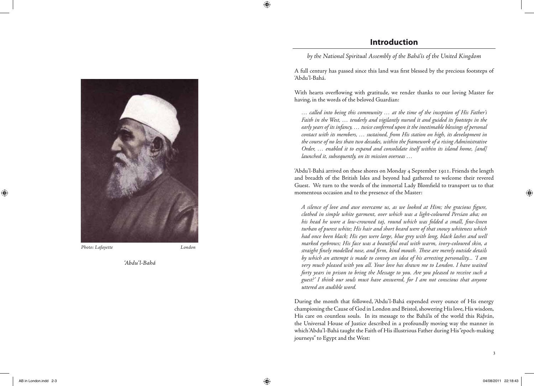**Introduction**

*by the National Spiritual Assembly of the Bahá'ís of the United Kingdom*

A full century has passed since this land was first blessed by the precious footsteps of 'Abdu'l-Bahá.

With hearts overflowing with gratitude, we render thanks to our loving Master for having, in the words of the beloved Guardian:

*… called into being this community … at the time of the inception of His Father's Faith in the West, … tenderly and vigilantly nursed it and guided its footsteps in the early years of its infancy, … twice conferred upon it the inestimable blessings of personal contact with its members, … sustained, from His station on high, its development in the course of no less than two decades, within the framework of a rising Administrative Order, … enabled it to expand and consolidate itself within its island home, [and] launched it, subsequently, on its mission overseas …*

'Abdu'l-Bahá arrived on these shores on Monday 4 September 1911. Friends the length and breadth of the British Isles and beyond had gathered to welcome their revered Guest. We turn to the words of the immortal Lady Blomfield to transport us to that momentous occasion and to the presence of the Master:

*A silence of love and awe overcame us, as we looked at Him; the gracious figure, clothed in simple white garment, over which was a light-coloured Persian aba; on his head he wore a low-crowned taj, round which was folded a small, fine-linen turban of purest white; His hair and short beard were of that snowy whiteness which had once been black; His eyes were large, blue grey with long, black lashes and well marked eyebrows; His face was a beautiful oval with warm, ivory-coloured skin, a straight finely modelled nose, and firm, kind mouth. These are merely outside details by which an attempt is made to convey an idea of his arresting personality... 'I am very much pleased with you all. Your love has drawn me to London. I have waited forty years in prison to bring the Message to you. Are you pleased to receive such a guest?' I think our souls must have answered, for I am not conscious that anyone uttered an audible word.*

During the month that followed, 'Abdu'l-Bahá expended every ounce of His energy championing the Cause of God in London and Bristol, showering His love, His wisdom, His care on countless souls. In its message to the Bahá'ís of the world this Ridván, . the Universal House of Justice described in a profoundly moving way the manner in which 'Abdu'l-Bahá taught the Faith of His illustrious Father during His "epoch-making journeys" to Egypt and the West:



*Photo: Lafayette London*

*'Abdu'l-Bahá*

⊕

⊕

3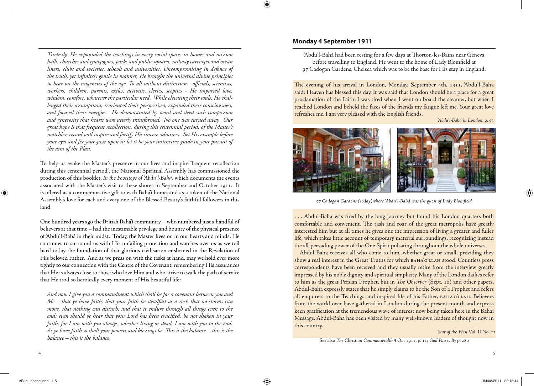*Tirelessly, He expounded the teachings in every social space: in homes and mission halls, churches and synagogues, parks and public squares, railway carriages and ocean liners, clubs and societies, schools and universities. Uncompromising in defence of the truth, yet infinitely gentle in manner, He brought the universal divine principles to bear on the exigencies of the age. To all without distinction - officials, scientists, workers, children, parents, exiles, activists, clerics, sceptics - He imparted love, wisdom, comfort, whatever the particular need. While elevating their souls, He challenged their assumptions, reoriented their perspectives, expanded their consciousness, and focused their energies. He demonstrated by word and deed such compassion and generosity that hearts were utterly transformed. No one was turned away. Our great hope is that frequent recollection, during this centennial period, of the Master's matchless record will inspire and fortify His sincere admirers. Set His example before your eyes and fix your gaze upon it; let it be your instinctive guide in your pursuit of the aim of the Plan.*

To help us evoke the Master's presence in our lives and inspire "frequent recollection during this centennial period", the National Spiritual Assembly has commissioned the production of this booklet, *In the Footsteps of 'Abdu'l-Bahá,* which documents the events associated with the Master's visit to these shores in September and October 1911. It is offered as a commemorative gift to each Bahá'í home, and as a token of the National Assembly's love for each and every one of the Blessed Beauty's faithful followers in this land.

One hundred years ago the British Bahá'í community – who numbered just a handful of believers at that time – had the inestimable privilege and bounty of the physical presence of 'Abdu'l-Bahá in their midst. Today, the Master lives on in our hearts and minds, He continues to surround us with His unfailing protection and watches over us as we toil hard to lay the foundation of that glorious civilisation enshrined in the Revelation of His beloved Father. And as we press on with the tasks at hand, may we hold ever more tightly to our connection with the Centre of the Covenant, remembering His assurances that He is always close to those who love Him and who strive to walk the path of service that He trod so heroically every moment of His beautiful life:

*And now I give you a commandment which shall be for a covenant between you and Me – that ye have faith; that your faith be steadfast as a rock that no storms can move, that nothing can disturb, and that it endure through all things even to the end; even should ye hear that your Lord has been crucified, be not shaken in your faith; for I am with you always, whether living or dead, I am with you to the end. As ye have faith so shall your powers and blessings be. This is the balance – this is the balance – this is the balance.*

# **Monday 4 September 1911**

'Abdu'l-Bahá had been resting for a few days at Thorton-les-Bains near Geneva before travelling to England. He went to the home of Lady Blomfield at 97 Cadogan Gardens, Chelsea which was to be the base for His stay in England.

The evening of his arrival in London, Monday, September 4th, 1911, 'Abdu'l-Baha said: Heaven has blessed this day. It was said that London should be a place for a great proclamation of the Faith. I was tired when I went on board the steamer, but when I reached London and beheld the faces of the friends my fatigue left me. Your great love refreshes me. I am very pleased with the English friends.

*'Abdu'l-Bahá in London*, p. 53



*97 Cadogan Gardens (today)where 'Abdu'l-Bahá was the guest of Lady Blomfield*

. . . Abdul-Baha was tired by the long journey but found his London quarters both comfortable and convenient. The rash and roar of the great metropolis have greatly interested him but at all times he gives one the impression of living a greater and fuller life, which takes little account of temporary material surroundings, recognizing instead the all-pervading power of the One Spirit pulsating throughout the whole universe.

Abdul-Baha receives all who come to him, whether great or small, providing they show a real interest in the Great Truths for which BAHA'O'LLAH stood. Countless press correspondents have been received and they usually retire from the interview greatly impressed by his noble dignity and spiritual simplicity. Many of the London dailies refer to him as the great Persian Prophet, but in *The Observer* (Sept, 10) and other papers, Abdul-Baha expressly states that he simply claims to be the Son of a Prophet and refers all enquirers to the Teachings and inspired life of his Father, BAHA'O'LLAH. Believers from the world over have gathered in London during the present month and express keen gratification at the tremendous wave of interest now being taken here in the Bahai Message. Abdul-Baha has been visited by many well-known leaders of thought now in this country.

# *Star of the West* Vol. II No. 11

See also *The Christian Commonwealth* 4 Oct 1911, p. 11; *God Passes By* p. 280

 $\bigoplus$ 

AB in London.indd 4-5 04/08/2011 22:18:44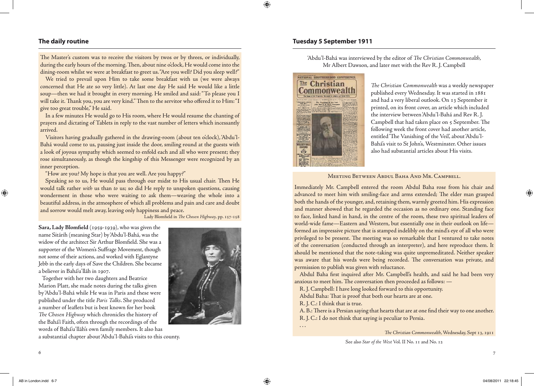# **The daily routine**

The Master's custom was to receive the visitors by twos or by threes, or individually, during the early hours of the morning. Then, about nine o'clock, He would come into the dining-room whilst we were at breakfast to greet us. "Are you well? Did you sleep well?"

We tried to prevail upon Him to take some breakfast with us (we were always concerned that He ate so very little). At last one day He said He would like a little soup—then we had it brought in every morning. He smiled and said: "To please you I will take it. Thank you, you are very kind." Then to the servitor who offered it to Him: "I give too great trouble," He said.

In a few minutes He would go to His room, where He would resume the chanting of prayers and dictating of Tablets in reply to the vast number of letters which incessantly arrived.

Visitors having gradually gathered in the drawing-room (about ten o'clock), 'Abdu'l-Bahá would come to us, pausing just inside the door, smiling round at the guests with a look of joyous sympathy which seemed to enfold each and all who were present; they rose simultaneously, as though the kingship of this Messenger were recognized by an inner perception.

"How are you? My hope is that you are well. Are you happy?"

Speaking so to us, He would pass through our midst to His usual chair. Then He would talk rather *with* us than *to* us; so did He reply to unspoken questions, causing wonderment in those who were waiting to ask them—weaving the whole into a beautiful address, in the atmosphere of which all problems and pain and care and doubt and sorrow would melt away, leaving only happiness and peace.

Lady Blomfield in *The Chosen Highway,* pp. 157-158

Sara, Lady Blomfield (1959-1939), who was given the name Sitárih (meaning Star) by 'Abdu'l-Bahá, was the widow of the architect Sir Arthur Blomfield. She was a supporter of the Women's Suffrage Movement, though not some of their actions, and worked with Eglantyne Jebb in the early days of Save the Children. She became a believer in Bahá'u'lláh in 1907.

Together with her two daughters and Beatrice Marion Platt, she made notes during the talks given by 'Abdu'l-Bahá while He was in Paris and these were published under the title *Paris Talks*. She produced a number of leaflets but is best known for her book *The Chosen Highway* which chronicles the history of the Bahá'í Faith, often through the recordings of the words of Bahá'u'lláh's own family members. It also has a substantial chapter about 'Abdu'l-Bahá's visits to this county.



# **Tuesday 5 September 1911**

'Abdu'l-Bahá was interviewed by the editor of *The Christian Commonwealth*, Mr Albert Dawson, and later met with the Rev R. J. Campbell



*The Christian Commonwealth* was a weekly newspaper published every Wednesday. It was started in 1881 and had a very liberal outlook. On 13 September it printed, on its front cover, an article which included the interview between 'Abdu'l-Bahá and Rev R. J. Campbell that had taken place on 5 September. The following week the front cover had another article, entitled 'The Vanishing of the Veil', about 'Abdu'l-Bahá's visit to St John's, Westminster. Other issues also had substantial articles about His visits.

### Meeting Between Abdul Baha And Mr. Campbell.

Immediately Mr. Campbell entered the room Abdul Baha rose from his chair and advanced to meet him with smiling-face and arms extended; The elder man grasped both the hands of the younger, and, retaining them, warmly greeted him. His expression and manner showed that he regarded the occasion as no ordinary one. Standing face to face, linked hand in hand, in the centre of the room, these two spiritual leaders of world-wide fame—Eastern and Western, but essentially one in their outlook on life formed an impressive picture that is stamped indelibly on the mind's eye of all who were privileged to be present. The meeting was so remarkable that I ventured to take notes of the conversation (conducted through an interpreter), and here reproduce them. It should be mentioned that the note-taking was quite unpremeditated. Neither speaker was aware that his words were being recorded. The conversation was private, and permission to publish was given with reluctance.

Abdul Baha first inquired after Mr. Campbell's health, and said he had been very anxious to meet him. The conversation then proceeded as follows: —

R. J. Campbell: I have long looked forward to this opportunity.

Abdul Baha: That is proof that both our hearts are at one.

R. J. C.: I think that is true.

A. B.: There is a Persian saying that hearts that are at one find their way to one another. R. J. C.: I do not think that saying is peculiar to Persia.

. . .

*The Christian Commonwealth*, Wednesday, Sept 13, 1911

See also *Star of the West* Vol. II No. 11 and No. 12

 $\sim$  7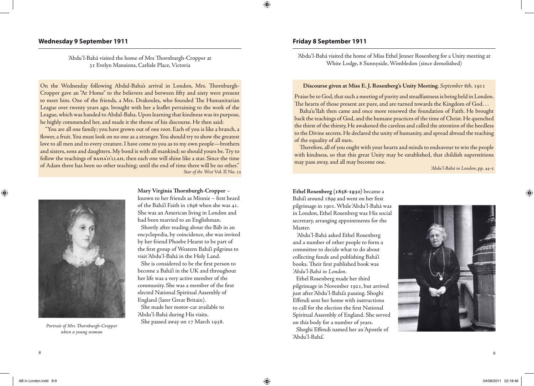# **Wednesday 9 September 1911**

'Abdu'l-Bahá visited the home of Mrs Thornburgh-Cropper at 31 Evelyn Mansions, Carlisle Place, Victoria

On the Wednesday following Abdul-Baha's arrival in London, Mrs. Thornburgh-Cropper gave an "At Home" to the believers and between fifty and sixty were present to meet him. One of the friends, a Mrs. Drakoules, who founded The Humanitarian League over twenty years ago*,* brought with her a leaflet pertaining to the work of the League, which was handed to Abdul-Baha. Upon learning that kindness was its purpose, he highly commended her, and made it the theme of his discourse. He then said:

"You are all one family; you have grown out of one root. Each of you is like a branch, a flower, a fruit. You must look on no one as a stranger. You should try to show the greatest love to all men and to every creature. I have come to you as to my own people—brothers and sisters, sons and daughters. My bond is with all mankind; so should yours be. Try to follow the teachings of вана'о'<sub>LLАН</sub>, then each one will shine like a star. Since the time of Adam there has been no other teaching; until the end of time there will be no other." *Star of the West* Vol. II No. 12



*when a young woman*

**Mary Virginia Thornburgh-Cropper** –

known to her friends as Minnie – first heard of the Bahá'í Faith in 1898 when she was 41. She was an American living in London and had been married to an Englishman. Shortly after reading about the Báb in an encyclopedia, by coincidence, she was invited by her friend Phoebe Hearst to be part of the first group of Western Bahá'í pilgrims to visit 'Abdu'l-Bahá in the Holy Land.

She is considered to be the first person to become a Bahá'í in the UK and throughout her life was a very active member of the community. She was a member of the first elected National Spiritual Assembly of England (later Great Britain).

She made her motor-car available to 'Abdu'l-Bahá during His visits. She passed away on 17 March 1938. *Portrait of Mrs Thornburgh-Cropper* 

# **Friday 8 September 1911**

'Abdu'l-Bahá visited the home of Miss Ethel Jenner Rosenberg for a Unity meeting at White Lodge, 8 Sunnyside, Wimbledon (since demolished)

### **Discourse given at Miss E. J. Rosenberg's Unity Meeting**. *September* 8*th,* 1911

Praise be to God, that such a meeting of purity and steadfastness is being held in London. The hearts of those present are pure, and are turned towards the Kingdom of God. . .

Baha'u'llah then came and once more renewed the foundation of Faith. He brought back the teachings of God, and the humane practices of the time of Christ. He quenched the thirst of the thirsty, He awakened the careless and called the attention of the heedless to the Divine secrets. He declared the unity of humanity, and spread abroad the teaching of the equality of all men.

Therefore, all of you ought with your hearts and minds to endeavour to win the people with kindness, so that this great Unity may be established, that childish superstitions may pass away, and all may become one.

*'Abdu'l-Bahá in London*, pp. 44-5

**Ethel Rosenberg (1858-1930)** became a Bahá'í around 1899 and went on her first pilgrimage in 1901. While 'Abdu'l-Bahá was in London, Ethel Rosenberg was His social secretary, arranging appointments for the Master.

 'Abdu'l-Bahá asked Ethel Rosenberg and a number of other people to form a committee to decide what to do about collecting funds and publishing Bahá'í books. Their first published book was *'Abdu'l-Bahá in London.*

Ethel Rosenberg made her third pilgrimage in November 1921, but arrived just after 'Abdu'l-Bahá's passing. Shoghi Effendi sent her home with instructions to call for the election the first National Spiritual Assembly of England. She served on this body for a number of years. Shoghi Effendi named her an 'Apostle of

'Abdu'l-Bahá'.



8 a comparative contract to the contract of the contract of the contract of the contract of the contract of the contract of the contract of the contract of the contract of the contract of the contract of the contract of th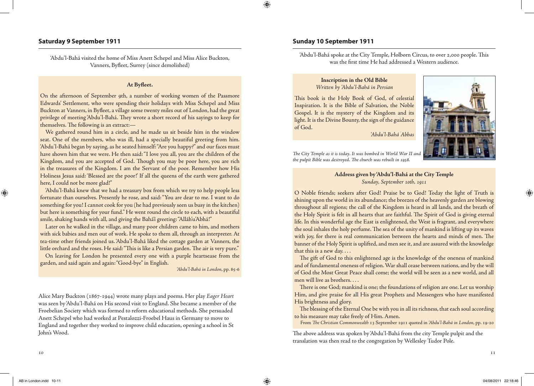# **Saturday 9 September 1911 Sunday 10 September 1911**

'Abdu'l-Bahá visited the home of Miss Anett Schepel and Miss Alice Buckton, Vanners, Byfleet, Surrey (since demolished)

### **At Byfleet.**

On the afternoon of September 9th, a number of working women of the Passmore Edwards' Settlement, who were spending their holidays with Miss Schepel and Miss Buckton at Vanners, in Byfleet, a village some twenty miles out of London, had the great privilege of meeting 'Abdu'l-Bahá. They wrote a short record of his sayings to keep for themselves. The following is an extract:—

We gathered round him in a circle, and he made us sit beside him in the window seat. One of the members, who was ill, had a specially beautiful greeting from him. 'Abdu'l-Bahá began by saying, as he seated himself: "Are you happy?" and our faces must have shown him that we were. He then said: "I love you all, you are the children of the Kingdom, and you are accepted of God. Though you may be poor here, you are rich in the treasures of the Kingdom. I am the Servant of the poor. Remember how His Holiness Jesus said: 'Blessed are the poor!' If all the queens of the earth were gathered here, I could not be more glad!"

'Abdu'l-Bahá knew that we had a treasury box from which we try to help people less fortunate than ourselves. Presently he rose, and said: "You are dear to me. I want to do something for you! I cannot cook for you (he had previously seen us busy in the kitchen) but here is something for your fund." He went round the circle to each, with a beautiful smile, shaking hands with all, and giving the Bahá'í greeting: "Alláh'u'Abhá!"

Later on he walked in the village, and many poor children came to him, and mothers with sick babies and men out of work. He spoke to them all, through an interpreter. At tea-time other friends joined us. 'Abdu'l-Bahá liked the cottage garden at Vanners, the little orchard and the roses. He said: "This is like a Persian garden. The air is very pure."

On leaving for London he presented every one with a purple heartsease from the garden, and said again and again: "Good-bye" in English.

*'Abdu'l-Bahá in London*, pp. 85-6

Alice Mary Buckton (1867-1944) wrote many plays and poems. Her play *Eager Heart* was seen by 'Abdu'l-Bahá on His second visit to England. She became a member of the Froebelian Society which was formed to reform educational methods. She persuaded Anett Schepel who had worked at Pestalozzi-Froebel Haus in Germany to move to England and together they worked to improve child education, opening a school in St John's Wood.

'Abdu'l-Bahá spoke at the City Temple, Holborn Circus, to over 2,000 people. This was the first time He had addressed a Western audience.

# **Inscription in the Old Bible** *Written by 'Abdu'l-Bahá in Persian*

This book is the Holy Book of God, of celestial Inspiration. It is the Bible of Salvation, the Noble Gospel. It is the mystery of the Kingdom and its light. It is the Divine Bounty, the sign of the guidance of God.

*'Abdu'l-Bahá ' Abbas*



*The City Temple as it is today. It was bombed in World War II and the pulpit Bible was destroyed. The church was rebuilt in 1958.*

# **Address given by 'Abdu'l-Bahá at the City Temple** *Sunday, September 10th, 1911*

O Noble friends; seekers after God! Praise be to God! Today the light of Truth is shining upon the world in its abundance; the breezes of the heavenly garden are blowing throughout all regions; the call of the Kingdom is heard in all lands, and the breath of the Holy Spirit is felt in all hearts that are faithful. The Spirit of God is giving eternal life. In this wonderful age the East is enlightened, the West is fragrant, and everywhere the soul inhales the holy perfume. The sea of the unity of mankind is lifting up its waves with joy, for there is real communication between the hearts and minds of men. The banner of the Holy Spirit is uplifted, and men see it, and are assured with the knowledge that this is a new day....

The gift of God to this enlightened age is the knowledge of the oneness of mankind and of fundamental oneness of religion. War shall cease between nations, and by the will of God the Most Great Peace shall come; the world will be seen as a new world, and all men will live as brothers. . . .

There is one God; mankind is one; the foundations of religion are one. Let us worship Him, and give praise for all His great Prophets and Messengers who have manifested His brightness and glory.

The blessing of the Eternal One be with you in all its richness, that each soul according to his measure may take freely of Him. Amen.

From *The Christian Commonwealth* 13 September 1911 quoted in *'Abdu'l-Bahá in London*, pp. 19-20

The above address was spoken by 'Abdu'l-Bahá from the city Temple pulpit and the translation was then read to the congregation by Wellesley Tudor Pole.

 $\bigoplus$ 

AB in London.indd 10-11 04/08/2011 22:18:46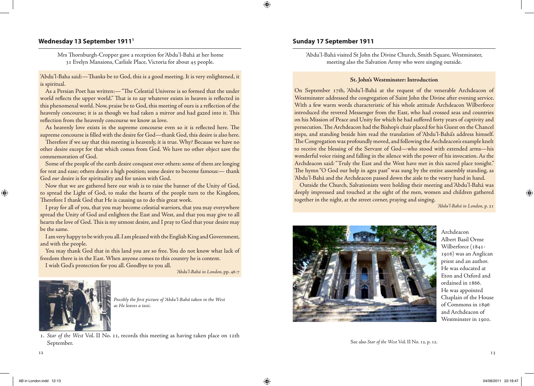# **Wednesday 13 September 1911 Sunday 17 September 1911 <sup>1</sup>**

 Mrs Thornburgh-Cropper gave a reception for 'Abdu'l-Bahá at her home 31 Evelyn Mansions, Carlisle Place, Victoria for about 45 people.

'Abdu'l-Baha said:—Thanks be to God, this is a good meeting. It is very enlightened, it is spiritual.

As a Persian Poet has written:— "The Celestial Universe is so formed that the under world reflects the upper world." That is to say whatever exists in heaven is reflected in this phenomenal world. Now, praise be to God, this meeting of ours is a reflection of the heavenly concourse; it is as though we had taken a mirror and had gazed into it. This reflection from the heavenly concourse we know as love.

As heavenly love exists in the supreme concourse even so it is reflected here. The supreme concourse is filled with the desire for God—thank God, this desire is also here.

Therefore if we say that this meeting is heavenly, it is true. Why? Because we have no other desire except for that which comes from God. We have no other object save the commemoration of God.

Some of the people of the earth desire conquest over others: some of them are longing for rest and ease; others desire a high position; some desire to become famous:— thank God *our* desire is for spirituality and for union with God.

Now that we are gathered here our wish is to raise the banner of the Unity of God, to spread the Light of God, to make the hearts of the people turn to the Kingdom, Therefore I thank God that He is causing us to do this great work.

I pray for all of you, that you may become celestial warriors, that you may everywhere spread the Unity of God and enlighten the East and West, and that you may give to all hearts the love of God. This is my utmost desire, and I pray to God that your desire may be the same.

I am very happy to be with you all. I am pleased with the English King and Government, and with the people.

You may thank God that in this land you are so free. You do not know what lack of freedom there is in the East. When anyone comes to this country he is content.

I wish God's protection for you all. Goodbye to you all.

*'Abdu'l-Bahá in London*, pp. 46-7



*Possibly the first picture of 'Abdu'l-Bahá taken in the West as He leaves a taxi.*

1. *Star of the West* Vol. II No. 11, records this meeting as having taken place on 12th September.

'Abdu'l-Bahá visited St John the Divine Church, Smith Square, Westminster, meeting also the Salvation Army who were singing outside.

### **St. John's Westminster: Introduction**

On September 17th, 'Abdu'l-Bahá at the request of the venerable Archdeacon of Westminster addressed the congregation of Saint John the Divine after evening service. With a few warm words characteristic of his whole attitude Archdeacon Wilberforce introduced the revered Messenger from the East, who had crossed seas and countries on his Mission of Peace and Unity for which he had suffered forty years of captivity and persecution. The Archdeacon had the Bishop's chair placed for his Guest on the Chancel steps, and standing beside him read the translation of 'Abdu'l-Bahá's address himself. The Congregation was profoundly moved, and following the Archdeacon's example knelt to receive the blessing of the Servant of God—who stood with extended arms—his wonderful voice rising and falling in the silence with the power of his invocation. As the Archdeacon said: "Truly the East and the West have met in this sacred place tonight." The hymn "O God our help in ages past" was sung by the entire assembly standing, as 'Abdu'l-Bahá and the Archdeacon passed down the aisle to the vestry hand in hand.

Outside the Church, Salvationists were holding their meeting and 'Abdu'l-Bahá was deeply impressed and touched at the sight of the men, women and children gathered together in the night, at the street corner, praying and singing.

*'Abdu'l-Bahá in London*, p. 21



Archdeacon Albert Basil Orme Wilberforce (1841-1916) was an Anglican priest and an author. He was educated at Eton and Oxford and ordained in 1866. He was appointed Chaplain of the House of Commons in 1896 and Archdeacon of Westminster in 1900.

See also *Star of the West* Vol. II No. 12, p. 12.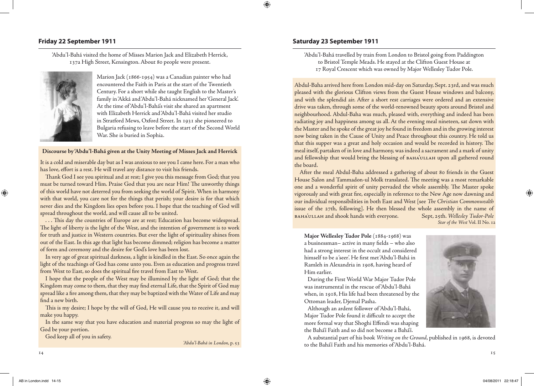'Abdu'l-Bahá visited the home of Misses Marion Jack and Elizabeth Herrick, 137a High Street, Kensington. About 80 people were present.



Marion Jack (1866-1954) was a Canadian painter who had encountered the Faith in Paris at the start of the Twentieth Century. For a short while she taught English to the Master's family in 'Akká and 'Abdu'l-Bahá nicknamed her 'General Jack'. At the time of 'Abdu'l-Bahá's visit she shared an apartment with Elizabeth Herrick and 'Abdu'l-Bahá visited her studio in Stratford Mews, Oxford Street. In 1931 she pioneered to Bulgaria refusing to leave before the start of the Second World War. She is buried in Sophia.

**Discourse by 'Abdu'l-Bahá given at the Unity Meeting of Misses Jack and Herrick**

It is a cold and miserable day but as I was anxious to see you I came here. For a man who has love, effort is a rest. He will travel any distance to visit his friends.

Thank God I see you spiritual and at rest; I give you this message from God; that you must be turned toward Him. Praise God that you are near Him! The unworthy things of this world have not deterred you from seeking the world of Spirit. When in harmony with that world, you care not for the things that perish; your desire is for that which never dies and the Kingdom lies open before you. I hope that the teaching of God will spread throughout the world, and will cause all to be united.

. . . This day the countries of Europe are at rest; Education has become widespread. The light of liberty is the light of the West, and the intention of government is to work for truth and justice in Western countries. But ever the light of spirituality shines from out of the East. In this age that light has become dimmed; religion has become a matter of form and ceremony and the desire for God's love has been lost.

In very age of great spiritual darkness, a light is kindled in the East. So once again the light of the teachings of God has come unto you. Even as education and progress travel from West to East, so does the spiritual fire travel from East to West.

I hope that the people of the West may be illumined by the light of God; that the Kingdom may come to them, that they may find eternal Life, that the Spirit of God may spread like a fire among them, that they may be baptized with the Water of Life and may find a new birth.

This is my desire; I hope by the will of God, He will cause you to receive it, and will make you happy.

In the same way that you have education and material progress so may the light of God be your portion.

God keep all of you in safety.

*'Abdu'l-Bahá in London*, p. 53

# **Friday 22 September 1911 Saturday 23 September 1911**

'Abdu'l-Bahá travelled by train from London to Bristol going from Paddington to Bristol Temple Meads. He stayed at the Clifton Guest House at 17 Royal Crescent which was owned by Major Wellesley Tudor Pole.

Abdul-Baha arrived here from London mid-day on Saturday, Sept. 23rd, and was much pleased with the glorious Clifton views from the Guest House windows and balcony, and with the splendid air. After a short rest carriages were ordered and an extensive drive was taken, through some of the world-renowned beauty spots around Bristol and neighbourhood. Abdul-Baha was much, pleased with, everything and indeed has been radiating joy and happiness among us all. At the evening meal nineteen, sat down with the Master and he spoke of the great joy he found in freedom and in the growing interest now being taken in the Cause of Unity and Peace throughout this country. He told us that this supper was a great and holy occasion and would be recorded in history. The meal itself, partaken of in love and harmony, was indeed a sacrament and a mark of unity and fellowship that would bring the blessing of BAHA'ULLAH upon all gathered round the board.

After the meal Abdul-Baha addressed a gathering of about 80 friends in the Guest House Salon and Tammadon-ul Molk translated. The meeting was a most remarkable one and a wonderful spirit of unity pervaded the whole assembly. The Master spoke vigorously and with great fire, especially in reference to the New Age now dawning and our individual responsibilities in both East and West [see *The Christian Commonwealth*  issue of the 27th, following]. He then blessed the whole assembly in the name of baha'ullah and shook hands with everyone. Sept, 25th. *Wellesley Tudor-Pole*

*Star of the West* Vol. II No. 12

Major Wellesley Tudor Pole (1884-1968) was a businessman– active in many fields – who also had a strong interest in the occult and considered himself to be a 'seer'. He first met 'Abdu'l-Bahá in Ramleh in Alexandria in 1908, having heard of Him earlier.

During the First World War Major Tudor Pole was instrumental in the rescue of 'Abdu'l-Bahá when, in 1918, His life had been threatened by the Ottoman leader, Djemal Pasha.

Although an ardent follower of 'Abdu'l-Bahá, Major Tudor Pole found it difficult to accept the more formal way that Shoghi Effendi was shaping the Bahá'í Faith and so did not become a Bahá'í.

A substantial part of his book *Writing on the Ground*, published in 1968, is devoted to the Bahá'í Faith and his memories of 'Abdu'l-Bahá.

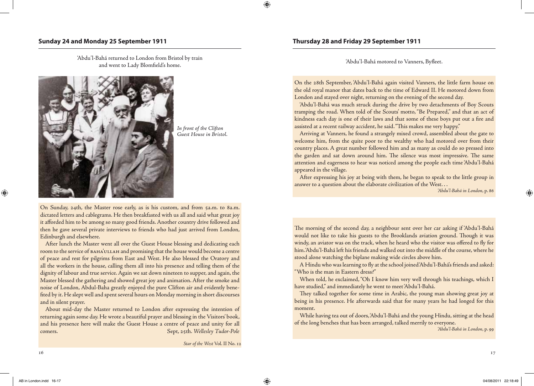'Abdu'l-Bahá motored to Vanners, Byfleet. 'Abdu'l-Bahá returned to London from Bristol by train and went to Lady Blomfield's home.



*In front of the Clifton Guest House in Bristol.* 

On Sunday, 24th, the Master rose early, as is his custom, and from 5a.m. to 8a.m. dictated letters and cablegrams. He then breakfasted with us all and said what great joy it afforded him to be among so many good friends. Another country drive followed and then he gave several private interviews to friends who had just arrived from London, Edinburgh and elsewhere.

After lunch the Master went all over the Guest House blessing and dedicating each room to the service of BAHA'ULLAH and promising that the house would become a centre of peace and rest for pilgrims from East and West. He also blessed the Oratory and all the workers in the house, calling them all into his presence and telling them of the dignity of labour and true service. Again we sat down nineteen to supper, and again, the Master blessed the gathering and showed great joy and animation. After the smoke and noise of London, Abdul-Baha greatly enjoyed the pure Clifton air and evidently benefited by it. He slept well and spent several hours on Monday morning in short discourses and in silent prayer.

About mid-day the Master returned to London after expressing the intention of returning again some day. He wrote a beautiful prayer and blessing in the Visitors' book, and his presence here will make the Guest House a centre of peace and unity for all comers. Sept, 25th. *Wellesley Tudor-Pole*

*Star of the West* Vol. II No. 12

# **Sunday 24 and Monday 25 September 1911 Thursday 28 and Friday 29 September 1911**

On the 28th September, 'Abdu'l-Bahá again visited Vanners, the little farm house on the old royal manor that dates back to the time of Edward II. He motored down from London and stayed over night, returning on the evening of the second day.

'Abdu'l-Bahá was much struck during the drive by two detachments of Boy Scouts tramping the road. When told of the Scouts' motto, "Be Prepared," and that an act of kindness each day is one of their laws and that some of these boys put out a fire and assisted at a recent railway accident, he said. "This makes me very happy."

Arriving at Vanners, he found a strangely mixed crowd, assembled about the gate to welcome him, from the quite poor to the wealthy who had motored over from their country places. A great number followed him and as many as could do so pressed into the garden and sat down around him. The silence was most impressive. The same attention and eagerness to hear was noticed among the people each time 'Abdu'l-Bahá appeared in the village.

After expressing his joy at being with them, he began to speak to the little group in answer to a question about the elaborate civilization of the West. . .

*'Abdu'l-Bahá in London*, p. 86

The morning of the second day, a neighbour sent over her car asking if 'Abdu'l-Bahá would not like to take his guests to the Brooklands aviation ground. Though it was windy, an aviator was on the track, when he heard who the visitor was offered to fly for him. 'Abdu'l-Bahá left his friends and walked out into the middle of the course, where he stood alone watching the biplane making wide circles above him.

A Hindu who was learning to fly at the school joined 'Abdu'l-Bahá's friends and asked: "Who is the man in Eastern dress?"

When told, he exclaimed, "Oh I know him very well through his teachings, which I have studied," and immediately he went to meet 'Abdu'l-Bahá.

They talked together for some time in Arabic, the young man showing great joy at being in his presence. He afterwards said that for many years he had longed for this moment.

While having tea out of doors, 'Abdu'l-Bahá and the young Hindu, sitting at the head of the long benches that has been arranged, talked merrily to everyone.

*'Abdu'l-Bahá in London*, p. 99

⊕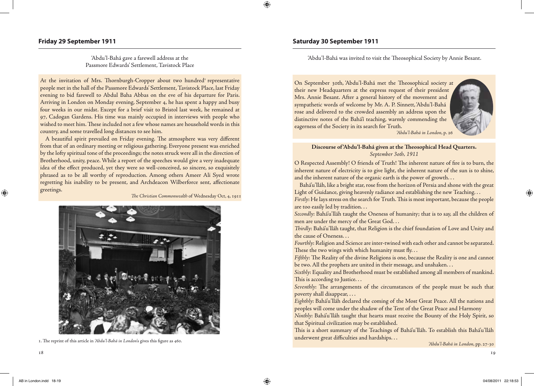Passmore Edwards' Settlement, Tavistock Place

At the invitation of Mrs. Thornburgh-Cropper about two hundred<sup>1</sup> representative people met in the hall of the Passmore Edwards' Settlement, Tavistock Place, last Friday evening to bid farewell to Abdul Baha Abbas on the eve of his departure for Paris. Arriving in London on Monday evening, September 4, he has spent a happy and busy four weeks in our midst. Except for a brief visit to Bristol last week, he remained at 97, Cadogan Gardens. His time was mainly occupied in interviews with people who wished to meet him. These included not a few whose names are household words in this country, and some travelled long distances to see him.

A beautiful spirit prevailed on Friday evening. The atmosphere was very different from that of an ordinary meeting or religious gathering. Everyone present was enriched by the lofty spiritual tone of the proceedings; the notes struck were all in the direction of Brotherhood, unity, peace. While a report of the speeches would give a very inadequate idea of the effect produced, yet they were so well-conceived, so sincere, so exquisitely phrased as to be all worthy of reproduction. Among others Ameer Ali Syed wrote regretting his inability to be present, and Archdeacon Wilberforce sent, affectionate greetings.

*The Christian Commonwealth* of Wednesday Oct, 4, 1911



1. The reprint of this article in *'Abdu'l-Bahá in London*'s gives this figure as 460.

 $\bigoplus$ 

# **Friday 29 September 1911 Saturday 30 September 1911**

'Abdu'l-Bahá gave a farewell address at the 'Abdu'l-Bahá was invited to visit the Theosophical Society by Annie Besant.

On September 30th, 'Abdu'l-Bahá met the Theosophical society at their new Headquarters at the express request of their president Mrs. Annie Besant. After a general history of the movement and sympathetic words of welcome by Mr. A. P. Sinnett, 'Abdu'l-Bahá rose and delivered to the crowded assembly an address upon the distinctive notes of the Bahá'í teaching, warmly commending the eagerness of the Society in its search for Truth.



*'Abdu'l-Bahá in London*, p. 26

### **Discourse of 'Abdu'l-Bahá given at the Theosophical Head Quarters.** *September 3oth, 1911*

O Respected Assembly! O friends of Truth! The inherent nature of fire is to burn, the inherent nature of electricity is to give light, the inherent nature of the sun is to shine, and the inherent nature of the organic earth is the power of growth. . .

Bahá'u'lláh, like a bright star, rose from the horizon of Persia and shone with the great Light of Guidance, giving heavenly radiance and establishing the new Teaching. . .

*Firstly*: He lays stress on the search for Truth. This is most important, because the people are too easily led by tradition. . .

*Secondly*: Bahá'u'lláh taught the Oneness of humanity; that is to say, all the children of men are under the mercy of the Great God. . .

*Thirdly*: Bahá'u'lláh taught, that Religion is the chief foundation of Love and Unity and the cause of Oneness. . .

*Fourthly*: Religion and Science are inter-twined with each other and cannot be separated. These the two wings with which humanity must  $fly...$ 

*Fifthly*: The Reality of the divine Religions is one, because the Reality is one and cannot be two. All the prophets are united in their message, and unshaken. . .

*Sixthly*: Equality and Brotherhood must be established among all members of mankind. This is according to Justice...

*Seventhly*: The arrangements of the circumstances of the people must be such that poverty shall disappear, . . .

*Eighthly*: Bahá'u'lláh declared the coming of the Most Great Peace. All the nations and peoples will come under the shadow of the Tent of the Great Peace and Harmony

*Ninthly*: Bahá'u'lláh taught that hearts must receive the Bounty of the Holy Spirit, so that Spiritual civilization may be established.

This is a short summary of the Teachings of Bahá'u'lláh. To establish this Bahá'u'lláh underwent great difficulties and hardships. . .

*'Abdu'l-Bahá in London*, pp. 27-30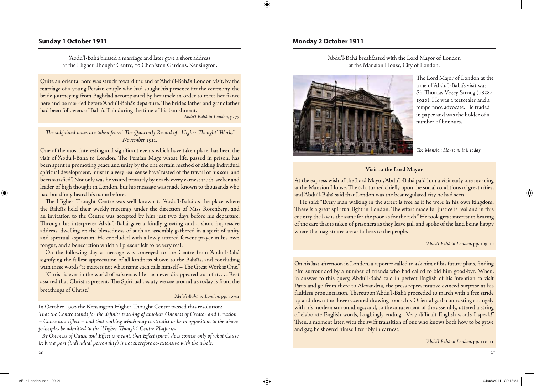# **Sunday 1 October 1911 Monday 2 October 1911**

'Abdu'l-Bahá blessed a marriage and later gave a short address at the Higher Thought Centre, 10 Cheniston Gardens, Kensington.

Quite an oriental note was struck toward the end of 'Abdu'l-Bahá's London visit, by the marriage of a young Persian couple who had sought his presence for the ceremony, the bride journeying from Baghdad accompanied by her uncle in order to meet her fiance here and be married before 'Abdu'l-Bahá's departure. The bride's father and grandfather had been followers of Baha'u'Ilah during the time of his banishment.

*'Abdu'l-Bahá in London*, p. 77

# *The subjoined notes are taken from "The Quarterly Record of `Higher Thought' Work," November 1911.*

One of the most interesting and significant events which have taken place, has been the visit of 'Abdu'l-Bahá to London. The Persian Mage whose life, passed in prison, has been spent in promoting peace and unity by the one certain method of aiding individual spiritual development, must in a very real sense have "tasted of the travail of his soul and been satisfied". Not only was he visited privately by nearly every earnest truth-seeker and leader of high thought in London, but his message was made known to thousands who had but dimly heard his name before.

The Higher Thought Centre was well known to 'Abdu'l-Bahá as the place where the Bahá'ís held their weekly meetings under the direction of Miss Rosenberg, and an invitation to the Centre was accepted by him just two days before his departure. Through his interpreter 'Abdu'l-Bahá gave a kindly greeting and a short impressive address, dwelling on the blessedness of such an assembly gathered in a spirit of unity and spiritual aspiration. He concluded with a lowly uttered fervent prayer in his own tongue, and a benediction which all present felt to be very real.

On the following day a message was conveyed to the Centre from 'Abdu'l-Bahá signifying the fullest appreciation of all kindness shown to the Bahá'ís, and concluding with these words; "it matters not what name each calls himself – The Great Work is One."

"Christ is ever in the world of existence. He has never disappeared out of it. . . . Rest assured that Christ is present. The Spiritual beauty we see around us today is from the breathings of Christ."

### *'Abdu'l-Bahá in London*, pp. 40-41

In October 1902 the Kensington Higher Thought Centre passed this resolution: *That the Centre stands for the definite teaching of absolute Oneness of Creator and Creation – Cause and Effect – and that nothing which may contradict or be in opposition to the above principles be admitted to the 'Higher Thought' Centre Platform*.

*By Oneness of Cause and Effect is meant, that Effect (man) does consist only of what Cause is; but a part (individual personality) is not therefore co-extensive with the whole*.

'Abdu'l-Bahá breakfasted with the Lord Mayor of London at the Mansion House, City of London.



The Lord Major of London at the time of 'Abdu'l-Bahá's visit was Sir Thomas Vezey Strong (1858- 1920). He was a teetotaler and a temperance advocate. He traded in paper and was the holder of a number of honours.

*The Mansion House as it is today*

### **Visit to the Lord Mayor**

At the express wish of the Lord Mayor, 'Abdu'l-Bahá paid him a visit early one morning at the Mansion House. The talk turned chiefly upon the social conditions of great cities, and 'Abdu'l-Bahá said that London was the best regulated city he had seen.

He said: "Every man walking in the street is free as if he were in his own kingdom. There is a great spiritual light in London. The effort made for justice is real and in this country the law is the same for the poor as for the rich." He took great interest in hearing of the care that is taken of prisoners as they leave jail, and spoke of the land being happy where the magistrates are as fathers to the people.

### *'Abdu'l-Bahá in London*, pp. 109-10

On his last afternoon in London, a reporter called to ask him of his future plans, finding him surrounded by a number of friends who had called to bid him good-bye. When, in answer to this query, 'Abdu'l-Bahá told in perfect English of his intention to visit Paris and go from there to Alexandria, the press representative evinced surprise at his faultless pronunciation. Thereupon 'Abdu'l-Bahá proceeded to march with a free stride up and down the flower-scented drawing room, his Oriental garb contrasting strangely with his modern surroundings; and, to the amusement of the assembly, uttered a string of elaborate English words, laughingly ending, "Very difficult English words I speak!" Then, a moment later, with the swift transition of one who knows both how to be grave and gay, he showed himself terribly in earnest.

*'Abdu'l-Bahá in London*, pp. 110-11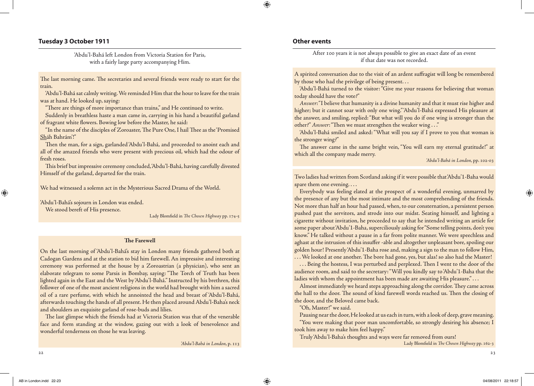# **Tuesday 3 October 1911**

'Abdu'l-Bahá left London from Victoria Station for Paris, with a fairly large party accompanying Him.

The last morning came. The secretaries and several friends were ready to start for the train.

'Abdu'l-Bahá sat calmly writing. We reminded Him that the hour to leave for the train was at hand. He looked up, saying:

"There are things of more importance than trains," and He continued to write.

Suddenly in breathless haste a man came in, carrying in his hand a beautiful garland of fragrant white flowers. Bowing low before the Master, he said:

"In the name of the disciples of Zoroaster, The Pure One, I hail Thee as the 'Promised Sháh Bahrám'!"

Then the man, for a sign, garlanded 'Abdu'l-Bahá, and proceeded to anoint each and all of the amazed friends who were present with precious oil, which had the odour of fresh roses.

This brief but impressive ceremony concluded, 'Abdu'l-Bahá, having carefully divested Himself of the garland, departed for the train.

We had witnessed a solemn act in the Mysterious Sacred Drama of the World.

'Abdu'l-Bahá's sojourn in London was ended. We stood bereft of His presence.

Lady Blomfield in *The Chosen Highway* pp. 174-5

### **The Farewell**

On the last morning of 'Abdu'l-Bahá's stay in London many friends gathered both at Cadogan Gardens and at the station to bid him farewell. An impressive and interesting ceremony was performed at the house by a Zoroastrian (a physician), who sent an elaborate telegram to some Parsis in Bombay, saying: "The Torch of Truth has been lighted again in the East and the West by 'Abdu'l-Bahá." Instructed by his brethren, this follower of one of the most ancient religions in the world had brought with him a sacred oil of a rare perfume, with which he annointed the head and breast of 'Abdu'l-Bahá, afterwards touching the hands of all present. He then placed around Abdu'l-Baha's neck and shoulders an exquisite garland of rose-buds and lilies.

The last glimpse which the friends had at Victoria Station was that of the venerable face and form standing at the window, gazing out with a look of benevolence and wonderful tenderness on those he was leaving.

*'Abdu'l-Bahá in London*, p. 113

# **Other events**

After 100 years it is not always possible to give an exact date of an event if that date was not recorded.

A spirited conversation due to the visit of an ardent suffragist will long be remembered by those who had the privilege of being present. . .

'Abdu'l-Bahá turned to the visitor: "Give me your reasons for believing that woman today should have the vote?"

*Answer*: "I believe that humanity is a divine humanity and that it must rise higher and higher; but it cannot soar with only one wing." 'Abdu'l-Bahá expressed His pleasure at the answer, and smiling, replied: "But what will you do if one wing is stronger than the other?" *Answer*: "Then we must strengthen the weaker wing . . ."

'Abdu'l-Bahá smiled and asked: "What will you say if I prove to you that woman is the stronger wing?"

The answer came in the same bright vein, "You will earn my eternal gratitude!" at which all the company made merry.

*'Abdu'l-Bahá in London*, pp. 102-03

Two ladies had written from Scotland asking if it were possible that 'Abdu'1-Baha would spare them one evening. . . .

Everybody was feeling elated at the prospect of a wonderful evening, unmarred by the presence of any but the most intimate and the most comprehending of the friends. Not more than half an hour had passed, when, to our consternation, a persistent person pushed past the servitors, and strode into our midst. Seating himself, and lighting a cigarette without invitation, he proceeded to say that he intended writing an article for some paper about 'Abdu'1-Baha, superciliously asking for "Some telling points, don't you know." He talked without a pause in a far from polite manner. We were speechless and aghast at the intrusion of this insuffer -able and altogether unpleasant bore, spoiling our golden hour! Presently 'Abdu'1-Baha rose and, making a sign to the man to follow Him,

. . . We looked at one another. The bore had gone, yes, but alas! so also had the Master! . . . Being the hostess, I was perturbed and perplexed. Then I went to the door of the audience room, and said to the secretary: "Will you kindly say to 'Abdu'1-Baha that the ladies with whom the appointment has been made are awaiting His pleasure."...

Almost immediately we heard steps approaching along the corridor. They came across the hall to the door. The sound of kind farewell words reached us. Then the closing of the door, and the Beloved came back.

"Oh, Master!" we said.

Pausing near the door, He looked at us each in turn, with a look of deep, grave meaning. "You were making that poor man uncomfortable, so strongly desiring his absence; I took him away to make him feel happy."

Truly 'Abdu'l-Baha's thoughts and ways were far removed from ours!

Lady Blomfield in *The Chosen Highway* pp. 162-3